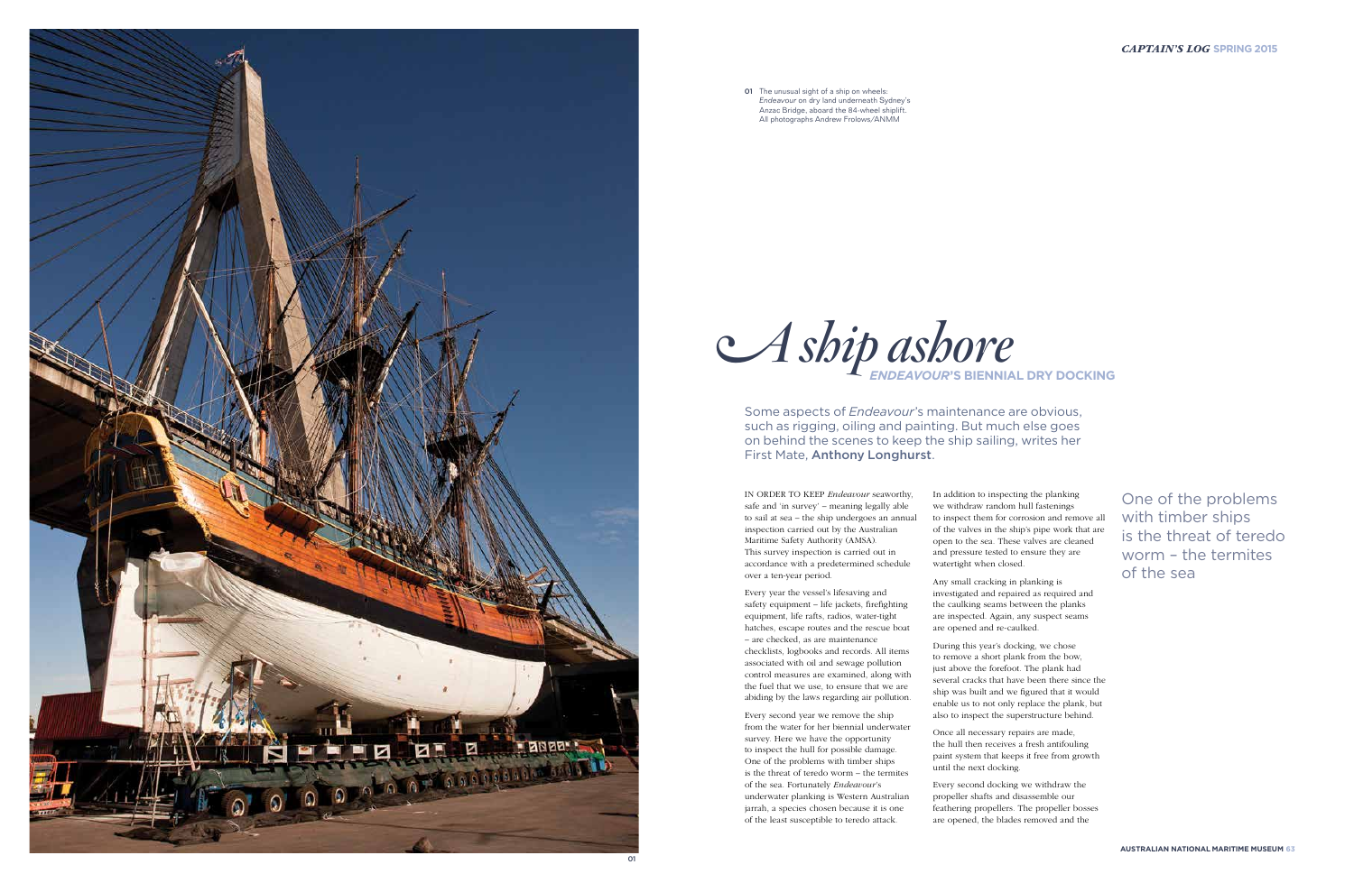

IN ORDER TO KEEP *Endeavour* seaworthy, safe and 'in survey' – meaning legally able to sail at sea – the ship undergoes an annual inspection carried out by the Australian Maritime Safety Authority (AMSA). This survey inspection is carried out in accordance with a predetermined schedule over a ten-year period.

Every year the vessel's lifesaving and safety equipment – life jackets, firefighting equipment, life rafts, radios, water-tight hatches, escape routes and the rescue boat – are checked, as are maintenance checklists, logbooks and records. All items associated with oil and sewage pollution control measures are examined, along with the fuel that we use, to ensure that we are abiding by the laws regarding air pollution.

Every second year we remove the ship from the water for her biennial underwater survey. Here we have the opportunity to inspect the hull for possible damage. One of the problems with timber ships is the threat of teredo worm – the termites of the sea. Fortunately *Endeavour*'s underwater planking is Western Australian jarrah, a species chosen because it is one of the least susceptible to teredo attack.

In addition to inspecting the planking we withdraw random hull fastenings to inspect them for corrosion and remove all of the valves in the ship's pipe work that are open to the sea. These valves are cleaned and pressure tested to ensure they are watertight when closed.



**01** The unusual sight of a ship on wheels: *Endeavour* on dry land underneath Sydney's Anzac Bridge, aboard the 84-wheel shiplift. All photographs Andrew Frolows/ANMM

> Any small cracking in planking is investigated and repaired as required and the caulking seams between the planks are inspected. Again, any suspect seams are opened and re-caulked.

During this year's docking, we chose to remove a short plank from the bow, just above the forefoot. The plank had several cracks that have been there since the ship was built and we figured that it would enable us to not only replace the plank, but also to inspect the superstructure behind.

Once all necessary repairs are made, the hull then receives a fresh antifouling paint system that keeps it free from growth until the next docking.

Every second docking we withdraw the propeller shafts and disassemble our feathering propellers. The propeller bosses are opened, the blades removed and the

Some aspects of *Endeavour*'s maintenance are obvious, such as rigging, oiling and painting. But much else goes on behind the scenes to keep the ship sailing, writes her First Mate, Anthony Longhurst.

> One of the problems with timber ships is the threat of teredo worm – the termites of the sea